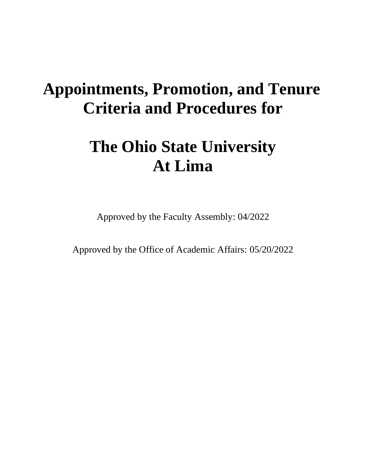## **Appointments, Promotion, and Tenure Criteria and Procedures for**

# **The Ohio State University At Lima**

Approved by the Faculty Assembly: 04/2022

Approved by the Office of Academic Affairs: 05/20/2022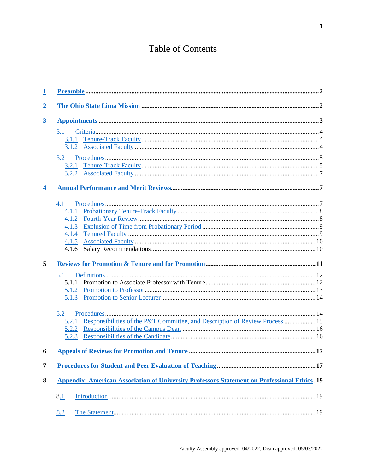## **Table of Contents**

| $\overline{1}$          |                                                                                                     |  |
|-------------------------|-----------------------------------------------------------------------------------------------------|--|
| $\overline{2}$          |                                                                                                     |  |
| $\overline{3}$          |                                                                                                     |  |
|                         | 3.1                                                                                                 |  |
|                         | 3.1.1                                                                                               |  |
|                         | 3.1.2                                                                                               |  |
|                         | 3.2                                                                                                 |  |
|                         | 3.2.1                                                                                               |  |
|                         |                                                                                                     |  |
| $\overline{\mathbf{4}}$ |                                                                                                     |  |
|                         | 4.1                                                                                                 |  |
|                         | 4.1.1                                                                                               |  |
|                         | 4.1.2                                                                                               |  |
|                         | 4.1.3                                                                                               |  |
|                         | 4.1.4                                                                                               |  |
|                         | 4.1.5                                                                                               |  |
|                         | 4.1.6                                                                                               |  |
| 5                       |                                                                                                     |  |
|                         | 5.1                                                                                                 |  |
|                         |                                                                                                     |  |
|                         | 5.1.2                                                                                               |  |
|                         | 5.1.3                                                                                               |  |
|                         | 5.2                                                                                                 |  |
|                         | 5.2.1 Responsibilities of the P&T Committee, and Description of Review Process  15                  |  |
|                         | 5.2.2                                                                                               |  |
|                         | 5.2.3                                                                                               |  |
| 6                       |                                                                                                     |  |
| 7                       |                                                                                                     |  |
| 8                       | <b>Appendix: American Association of University Professors Statement on Professional Ethics. 19</b> |  |
|                         | 8.1                                                                                                 |  |
|                         | 8.2                                                                                                 |  |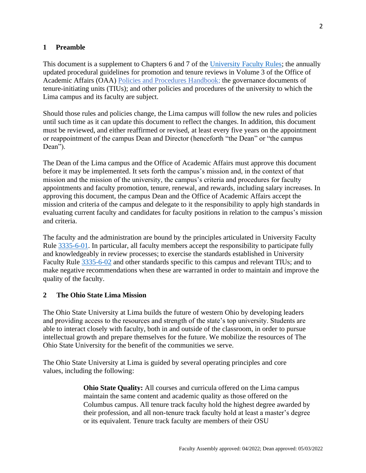#### <span id="page-2-0"></span>**1 Preamble**

This document is a supplement to Chapters 6 and 7 of the [University Faculty Rules;](https://trustees.osu.edu/bylaws-and-rules/university-faculty-rules) the annually updated procedural guidelines for promotion and tenure reviews in Volume 3 of the Office of Academic Affairs (OAA) [Policies and Procedures Handbook;](http://oaa.osu.edu/policies-and-procedures-handbook) the governance documents of tenure-initiating units (TIUs); and other policies and procedures of the university to which the Lima campus and its faculty are subject.

Should those rules and policies change, the Lima campus will follow the new rules and policies until such time as it can update this document to reflect the changes. In addition, this document must be reviewed, and either reaffirmed or revised, at least every five years on the appointment or reappointment of the campus Dean and Director (henceforth "the Dean" or "the campus Dean").

The Dean of the Lima campus and the Office of Academic Affairs must approve this document before it may be implemented. It sets forth the campus's mission and, in the context of that mission and the mission of the university, the campus's criteria and procedures for faculty appointments and faculty promotion, tenure, renewal, and rewards, including salary increases. In approving this document, the campus Dean and the Office of Academic Affairs accept the mission and criteria of the campus and delegate to it the responsibility to apply high standards in evaluating current faculty and candidates for faculty positions in relation to the campus's mission and criteria.

The faculty and the administration are bound by the principles articulated in University Faculty Rule [3335-6-01.](http://trustees.osu.edu/university-faculty-rules/3335-6) In particular, all faculty members accept the responsibility to participate fully and knowledgeably in review processes; to exercise the standards established in University Faculty Rule [3335-6-02](http://trustees.osu.edu/university-faculty-rules/3335-6) and other standards specific to this campus and relevant TIUs; and to make negative recommendations when these are warranted in order to maintain and improve the quality of the faculty.

#### <span id="page-2-1"></span>**2 The Ohio State Lima Mission**

The Ohio State University at Lima builds the future of western Ohio by developing leaders and providing access to the resources and strength of the state's top university. Students are able to interact closely with faculty, both in and outside of the classroom, in order to pursue intellectual growth and prepare themselves for the future. We mobilize the resources of The Ohio State University for the benefit of the communities we serve.

The Ohio State University at Lima is guided by several operating principles and core values, including the following:

> **Ohio State Quality:** All courses and curricula offered on the Lima campus maintain the same content and academic quality as those offered on the Columbus campus. All tenure track faculty hold the highest degree awarded by their profession, and all non-tenure track faculty hold at least a master's degree or its equivalent. Tenure track faculty are members of their OSU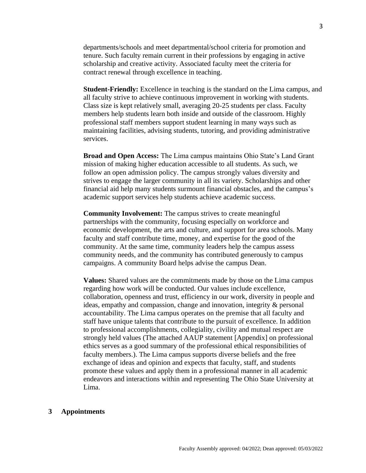departments/schools and meet departmental/school criteria for promotion and tenure. Such faculty remain current in their professions by engaging in active scholarship and creative activity. Associated faculty meet the criteria for contract renewal through excellence in teaching.

**Student-Friendly:** Excellence in teaching is the standard on the Lima campus, and all faculty strive to achieve continuous improvement in working with students. Class size is kept relatively small, averaging 20-25 students per class. Faculty members help students learn both inside and outside of the classroom. Highly professional staff members support student learning in many ways such as maintaining facilities, advising students, tutoring, and providing administrative services.

**Broad and Open Access:** The Lima campus maintains Ohio State's Land Grant mission of making higher education accessible to all students. As such, we follow an open admission policy. The campus strongly values diversity and strives to engage the larger community in all its variety. Scholarships and other financial aid help many students surmount financial obstacles, and the campus's academic support services help students achieve academic success.

**Community Involvement:** The campus strives to create meaningful partnerships with the community, focusing especially on workforce and economic development, the arts and culture, and support for area schools. Many faculty and staff contribute time, money, and expertise for the good of the community. At the same time, community leaders help the campus assess community needs, and the community has contributed generously to campus campaigns. A community Board helps advise the campus Dean.

**Values:** Shared values are the commitments made by those on the Lima campus regarding how work will be conducted. Our values include excellence, collaboration, openness and trust, efficiency in our work, diversity in people and ideas, empathy and compassion, change and innovation, integrity & personal accountability. The Lima campus operates on the premise that all faculty and staff have unique talents that contribute to the pursuit of excellence. In addition to professional accomplishments, collegiality, civility and mutual respect are strongly held values (The attached AAUP statement [Appendix] on professional ethics serves as a good summary of the professional ethical responsibilities of faculty members.). The Lima campus supports diverse beliefs and the free exchange of ideas and opinion and expects that faculty, staff, and students promote these values and apply them in a professional manner in all academic endeavors and interactions within and representing The Ohio State University at Lima.

#### <span id="page-3-1"></span><span id="page-3-0"></span>**3 Appointments**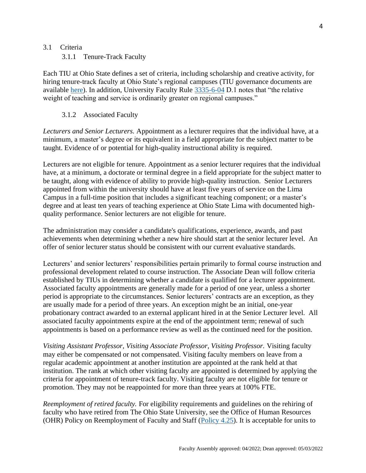#### <span id="page-4-0"></span>3.1 Criteria

3.1.1 Tenure-Track Faculty

Each TIU at Ohio State defines a set of criteria, including scholarship and creative activity, for hiring tenure-track faculty at Ohio State's regional campuses (TIU governance documents are available [here\)](http://oaa.osu.edu/governance.html). In addition, University Faculty Rule [3335-6-04](http://trustees.osu.edu/university-faculty-rules/3335-6) D.1 notes that "the relative weight of teaching and service is ordinarily greater on regional campuses."

#### 3.1.2 Associated Faculty

<span id="page-4-1"></span>*Lecturers and Senior Lecturers.* Appointment as a lecturer requires that the individual have, at a minimum, a master's degree or its equivalent in a field appropriate for the subject matter to be taught. Evidence of or potential for high-quality instructional ability is required.

Lecturers are not eligible for tenure. Appointment as a senior lecturer requires that the individual have, at a minimum, a doctorate or terminal degree in a field appropriate for the subject matter to be taught, along with evidence of ability to provide high-quality instruction. Senior Lecturers appointed from within the university should have at least five years of service on the Lima Campus in a full-time position that includes a significant teaching component; or a master's degree and at least ten years of teaching experience at Ohio State Lima with documented highquality performance. Senior lecturers are not eligible for tenure.

The administration may consider a candidate's qualifications, experience, awards, and past achievements when determining whether a new hire should start at the senior lecturer level. An offer of senior lecturer status should be consistent with our current evaluative standards.

Lecturers' and senior lecturers' responsibilities pertain primarily to formal course instruction and professional development related to course instruction. The Associate Dean will follow criteria established by TIUs in determining whether a candidate is qualified for a lecturer appointment. Associated faculty appointments are generally made for a period of one year, unless a shorter period is appropriate to the circumstances. Senior lecturers' contracts are an exception, as they are usually made for a period of three years. An exception might be an initial, one-year probationary contract awarded to an external applicant hired in at the Senior Lecturer level. All associated faculty appointments expire at the end of the appointment term; renewal of such appointments is based on a performance review as well as the continued need for the position.

*Visiting Assistant Professor, Visiting Associate Professor, Visiting Professor.* Visiting faculty may either be compensated or not compensated. Visiting faculty members on leave from a regular academic appointment at another institution are appointed at the rank held at that institution. The rank at which other visiting faculty are appointed is determined by applying the criteria for appointment of tenure-track faculty. Visiting faculty are not eligible for tenure or promotion. They may not be reappointed for more than three years at 100% FTE.

*Reemployment of retired faculty.* For eligibility requirements and guidelines on the rehiring of faculty who have retired from The Ohio State University, see the Office of Human Resources (OHR) Policy on Reemployment of Faculty and Staff [\(Policy 4.25\)](https://hr.osu.edu/wp-content/uploads/policy425.pdf). It is acceptable for units to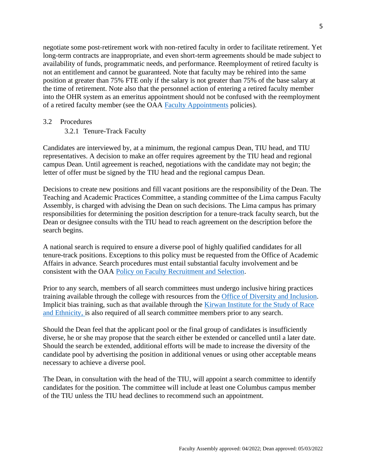negotiate some post-retirement work with non-retired faculty in order to facilitate retirement. Yet long-term contracts are inappropriate, and even short-term agreements should be made subject to availability of funds, programmatic needs, and performance. Reemployment of retired faculty is not an entitlement and cannot be guaranteed. Note that faculty may be rehired into the same position at greater than 75% FTE only if the salary is not greater than 75% of the base salary at the time of retirement. Note also that the personnel action of entering a retired faculty member into the OHR system as an emeritus appointment should not be confused with the reemployment of a retired faculty member (see the OAA [Faculty Appointments](https://oaa.osu.edu/sites/default/files/links_files/facultyappointments.pdf) policies).

#### <span id="page-5-1"></span><span id="page-5-0"></span>3.2 Procedures

3.2.1 Tenure-Track Faculty

Candidates are interviewed by, at a minimum, the regional campus Dean, TIU head, and TIU representatives. A decision to make an offer requires agreement by the TIU head and regional campus Dean. Until agreement is reached, negotiations with the candidate may not begin; the letter of offer must be signed by the TIU head and the regional campus Dean.

Decisions to create new positions and fill vacant positions are the responsibility of the Dean. The Teaching and Academic Practices Committee, a standing committee of the Lima campus Faculty Assembly, is charged with advising the Dean on such decisions. The Lima campus has primary responsibilities for determining the position description for a tenure-track faculty search, but the Dean or designee consults with the TIU head to reach agreement on the description before the search begins.

A national search is required to ensure a diverse pool of highly qualified candidates for all tenure-track positions. Exceptions to this policy must be requested from the Office of Academic Affairs in advance. Search procedures must entail substantial faculty involvement and be consistent with the OAA [Policy on Faculty Recruitment and Selection.](https://oaa.osu.edu/sites/default/files/links_files/facultyrecruitment_1.pdf)

Prior to any search, members of all search committees must undergo inclusive hiring practices training available through the college with resources from the [Office of Diversity and Inclusion.](https://odi.osu.edu/) Implicit bias training, such as that available through the [Kirwan Institute for the Study of Race](https://kirwaninstitute.osu.edu/)  [and Ethnicity,](https://kirwaninstitute.osu.edu/) is also required of all search committee members prior to any search.

Should the Dean feel that the applicant pool or the final group of candidates is insufficiently diverse, he or she may propose that the search either be extended or cancelled until a later date. Should the search be extended, additional efforts will be made to increase the diversity of the candidate pool by advertising the position in additional venues or using other acceptable means necessary to achieve a diverse pool.

The Dean, in consultation with the head of the TIU, will appoint a search committee to identify candidates for the position. The committee will include at least one Columbus campus member of the TIU unless the TIU head declines to recommend such an appointment.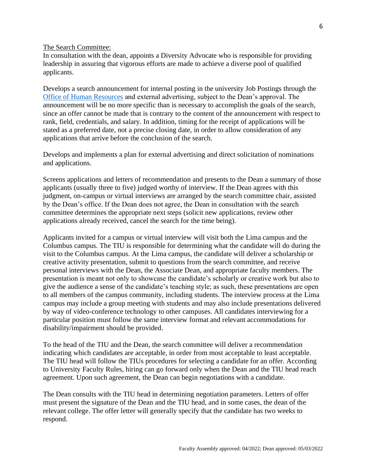#### The Search Committee:

In consultation with the dean, appoints a Diversity Advocate who is responsible for providing leadership in assuring that vigorous efforts are made to achieve a diverse pool of qualified applicants.

Develops a search announcement for internal posting in the university Job Postings through the Office [of Human Resources](http://www.hr.osu.edu/) and external advertising, subject to the Dean's approval. The announcement will be no more specific than is necessary to accomplish the goals of the search, since an offer cannot be made that is contrary to the content of the announcement with respect to rank, field, credentials, and salary. In addition, timing for the receipt of applications will be stated as a preferred date, not a precise closing date, in order to allow consideration of any applications that arrive before the conclusion of the search.

Develops and implements a plan for external advertising and direct solicitation of nominations and applications.

Screens applications and letters of recommendation and presents to the Dean a summary of those applicants (usually three to five) judged worthy of interview. If the Dean agrees with this judgment, on-campus or virtual interviews are arranged by the search committee chair, assisted by the Dean's office. If the Dean does not agree, the Dean in consultation with the search committee determines the appropriate next steps (solicit new applications, review other applications already received, cancel the search for the time being).

Applicants invited for a campus or virtual interview will visit both the Lima campus and the Columbus campus. The TIU is responsible for determining what the candidate will do during the visit to the Columbus campus. At the Lima campus, the candidate will deliver a scholarship or creative activity presentation, submit to questions from the search committee, and receive personal interviews with the Dean, the Associate Dean, and appropriate faculty members. The presentation is meant not only to showcase the candidate's scholarly or creative work but also to give the audience a sense of the candidate's teaching style; as such, these presentations are open to all members of the campus community, including students. The interview process at the Lima campus may include a group meeting with students and may also include presentations delivered by way of video-conference technology to other campuses. All candidates interviewing for a particular position must follow the same interview format and relevant accommodations for disability/impairment should be provided.

To the head of the TIU and the Dean, the search committee will deliver a recommendation indicating which candidates are acceptable, in order from most acceptable to least acceptable. The TIU head will follow the TIUs procedures for selecting a candidate for an offer. According to University Faculty Rules, hiring can go forward only when the Dean and the TIU head reach agreement. Upon such agreement, the Dean can begin negotiations with a candidate.

The Dean consults with the TIU head in determining negotiation parameters. Letters of offer must present the signature of the Dean and the TIU head, and in some cases, the dean of the relevant college. The offer letter will generally specify that the candidate has two weeks to respond.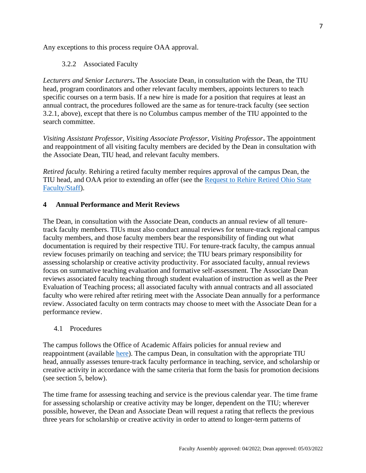<span id="page-7-0"></span>Any exceptions to this process require OAA approval.

#### 3.2.2 Associated Faculty

*Lecturers and Senior Lecturers***.** The Associate Dean, in consultation with the Dean, the TIU head, program coordinators and other relevant faculty members, appoints lecturers to teach specific courses on a term basis. If a new hire is made for a position that requires at least an annual contract, the procedures followed are the same as for tenure-track faculty (see section 3.2.1, above), except that there is no Columbus campus member of the TIU appointed to the search committee.

*Visiting Assistant Professor, Visiting Associate Professor, Visiting Professor***.** The appointment and reappointment of all visiting faculty members are decided by the Dean in consultation with the Associate Dean, TIU head, and relevant faculty members.

*Retired faculty.* Rehiring a retired faculty member requires approval of the campus Dean, the TIU head, and OAA prior to extending an offer (see the [Request to Rehire Retired Ohio State](https://oaa.osu.edu/sites/default/files/links_files/form-rehire-retired-request%20%281%29.pdf)  [Faculty/Staff\)](https://oaa.osu.edu/sites/default/files/links_files/form-rehire-retired-request%20%281%29.pdf).

#### <span id="page-7-1"></span>**4 Annual Performance and Merit Reviews**

The Dean, in consultation with the Associate Dean, conducts an annual review of all tenuretrack faculty members. TIUs must also conduct annual reviews for tenure-track regional campus faculty members, and those faculty members bear the responsibility of finding out what documentation is required by their respective TIU. For tenure-track faculty, the campus annual review focuses primarily on teaching and service; the TIU bears primary responsibility for assessing scholarship or creative activity productivity. For associated faculty, annual reviews focus on summative teaching evaluation and formative self-assessment. The Associate Dean reviews associated faculty teaching through student evaluation of instruction as well as the Peer Evaluation of Teaching process; all associated faculty with annual contracts and all associated faculty who were rehired after retiring meet with the Associate Dean annually for a performance review. Associated faculty on term contracts may choose to meet with the Associate Dean for a performance review.

#### <span id="page-7-2"></span>4.1 Procedures

The campus follows the Office of Academic Affairs policies for annual review and reappointment (available [here\)](https://oaa.osu.edu/sites/default/files/uploads/policies/Faculty-Annual-Review-and-Reappointment.pdf). The campus Dean, in consultation with the appropriate TIU head, annually assesses tenure-track faculty performance in teaching, service, and scholarship or creative activity in accordance with the same criteria that form the basis for promotion decisions (see section 5, below).

The time frame for assessing teaching and service is the previous calendar year. The time frame for assessing scholarship or creative activity may be longer, dependent on the TIU; wherever possible, however, the Dean and Associate Dean will request a rating that reflects the previous three years for scholarship or creative activity in order to attend to longer-term patterns of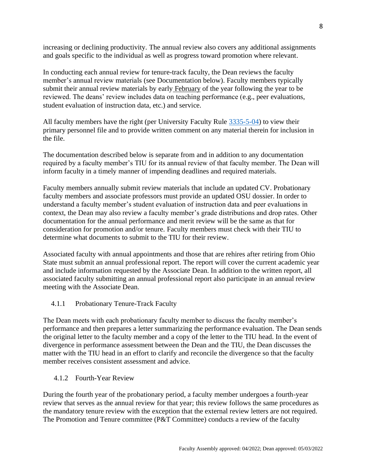increasing or declining productivity. The annual review also covers any additional assignments and goals specific to the individual as well as progress toward promotion where relevant.

In conducting each annual review for tenure-track faculty, the Dean reviews the faculty member's annual review materials (see Documentation below). Faculty members typically submit their annual review materials by early February of the year following the year to be reviewed. The deans' review includes data on teaching performance (e.g., peer evaluations, student evaluation of instruction data, etc.) and service.

All faculty members have the right (per University Faculty Rule [3335-5-04\)](https://trustees.osu.edu/bylaws-and-rules/3335-5) to view their primary personnel file and to provide written comment on any material therein for inclusion in the file.

The documentation described below is separate from and in addition to any documentation required by a faculty member's TIU for its annual review of that faculty member. The Dean will inform faculty in a timely manner of impending deadlines and required materials.

Faculty members annually submit review materials that include an updated CV. Probationary faculty members and associate professors must provide an updated OSU dossier. In order to understand a faculty member's student evaluation of instruction data and peer evaluations in context, the Dean may also review a faculty member's grade distributions and drop rates. Other documentation for the annual performance and merit review will be the same as that for consideration for promotion and/or tenure. Faculty members must check with their TIU to determine what documents to submit to the TIU for their review.

Associated faculty with annual appointments and those that are rehires after retiring from Ohio State must submit an annual professional report. The report will cover the current academic year and include information requested by the Associate Dean. In addition to the written report, all associated faculty submitting an annual professional report also participate in an annual review meeting with the Associate Dean.

## <span id="page-8-0"></span>4.1.1 Probationary Tenure-Track Faculty

The Dean meets with each probationary faculty member to discuss the faculty member's performance and then prepares a letter summarizing the performance evaluation. The Dean sends the original letter to the faculty member and a copy of the letter to the TIU head. In the event of divergence in performance assessment between the Dean and the TIU, the Dean discusses the matter with the TIU head in an effort to clarify and reconcile the divergence so that the faculty member receives consistent assessment and advice.

<span id="page-8-1"></span>4.1.2 Fourth-Year Review

During the fourth year of the probationary period, a faculty member undergoes a fourth-year review that serves as the annual review for that year; this review follows the same procedures as the mandatory tenure review with the exception that the external review letters are not required. The Promotion and Tenure committee (P&T Committee) conducts a review of the faculty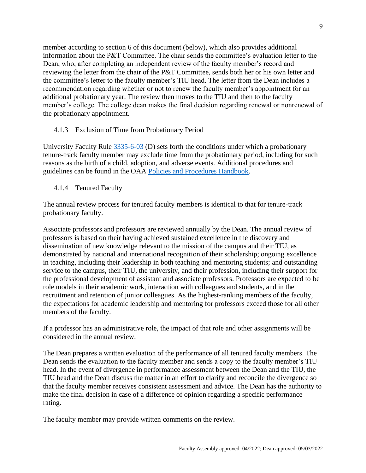member according to section 6 of this document (below), which also provides additional information about the P&T Committee. The chair sends the committee's evaluation letter to the Dean, who, after completing an independent review of the faculty member's record and reviewing the letter from the chair of the P&T Committee, sends both her or his own letter and the committee's letter to the faculty member's TIU head. The letter from the Dean includes a recommendation regarding whether or not to renew the faculty member's appointment for an additional probationary year. The review then moves to the TIU and then to the faculty member's college. The college dean makes the final decision regarding renewal or nonrenewal of the probationary appointment.

## <span id="page-9-0"></span>4.1.3 Exclusion of Time from Probationary Period

University Faculty Rule [3335-6-03](https://trustees.osu.edu/bylaws-and-rules/3335-6) (D) sets forth the conditions under which a probationary tenure-track faculty member may exclude time from the probationary period, including for such reasons as the birth of a child, adoption, and adverse events. Additional procedures and guidelines can be found in the OAA [Policies and Procedures Handbook.](https://oaa.osu.edu/policies-and-procedures-handbook)

<span id="page-9-1"></span>4.1.4 Tenured Faculty

The annual review process for tenured faculty members is identical to that for tenure-track probationary faculty.

Associate professors and professors are reviewed annually by the Dean. The annual review of professors is based on their having achieved sustained excellence in the discovery and dissemination of new knowledge relevant to the mission of the campus and their TIU, as demonstrated by national and international recognition of their scholarship; ongoing excellence in teaching, including their leadership in both teaching and mentoring students; and outstanding service to the campus, their TIU, the university, and their profession, including their support for the professional development of assistant and associate professors. Professors are expected to be role models in their academic work, interaction with colleagues and students, and in the recruitment and retention of junior colleagues. As the highest-ranking members of the faculty, the expectations for academic leadership and mentoring for professors exceed those for all other members of the faculty.

If a professor has an administrative role, the impact of that role and other assignments will be considered in the annual review.

The Dean prepares a written evaluation of the performance of all tenured faculty members. The Dean sends the evaluation to the faculty member and sends a copy to the faculty member's TIU head. In the event of divergence in performance assessment between the Dean and the TIU, the TIU head and the Dean discuss the matter in an effort to clarify and reconcile the divergence so that the faculty member receives consistent assessment and advice. The Dean has the authority to make the final decision in case of a difference of opinion regarding a specific performance rating.

The faculty member may provide written comments on the review.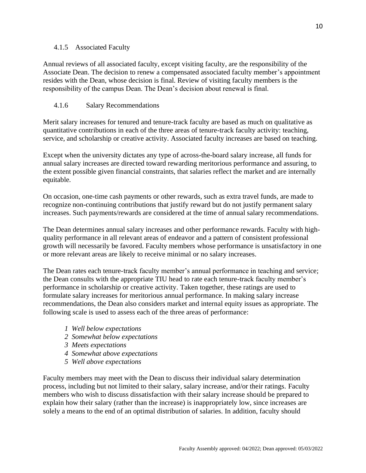#### <span id="page-10-0"></span>4.1.5 Associated Faculty

Annual reviews of all associated faculty, except visiting faculty, are the responsibility of the Associate Dean. The decision to renew a compensated associated faculty member's appointment resides with the Dean, whose decision is final. Review of visiting faculty members is the responsibility of the campus Dean. The Dean's decision about renewal is final.

## 4.1.6 Salary Recommendations

Merit salary increases for tenured and tenure-track faculty are based as much on qualitative as quantitative contributions in each of the three areas of tenure-track faculty activity: teaching, service, and scholarship or creative activity. Associated faculty increases are based on teaching.

Except when the university dictates any type of across-the-board salary increase, all funds for annual salary increases are directed toward rewarding meritorious performance and assuring, to the extent possible given financial constraints, that salaries reflect the market and are internally equitable.

On occasion, one-time cash payments or other rewards, such as extra travel funds, are made to recognize non-continuing contributions that justify reward but do not justify permanent salary increases. Such payments/rewards are considered at the time of annual salary recommendations.

The Dean determines annual salary increases and other performance rewards. Faculty with highquality performance in all relevant areas of endeavor and a pattern of consistent professional growth will necessarily be favored. Faculty members whose performance is unsatisfactory in one or more relevant areas are likely to receive minimal or no salary increases.

The Dean rates each tenure-track faculty member's annual performance in teaching and service; the Dean consults with the appropriate TIU head to rate each tenure-track faculty member's performance in scholarship or creative activity. Taken together, these ratings are used to formulate salary increases for meritorious annual performance. In making salary increase recommendations, the Dean also considers market and internal equity issues as appropriate. The following scale is used to assess each of the three areas of performance:

- *1 Well below expectations*
- *2 Somewhat below expectations*
- *3 Meets expectations*
- *4 Somewhat above expectations*
- *5 Well above expectations*

Faculty members may meet with the Dean to discuss their individual salary determination process, including but not limited to their salary, salary increase, and/or their ratings. Faculty members who wish to discuss dissatisfaction with their salary increase should be prepared to explain how their salary (rather than the increase) is inappropriately low, since increases are solely a means to the end of an optimal distribution of salaries. In addition, faculty should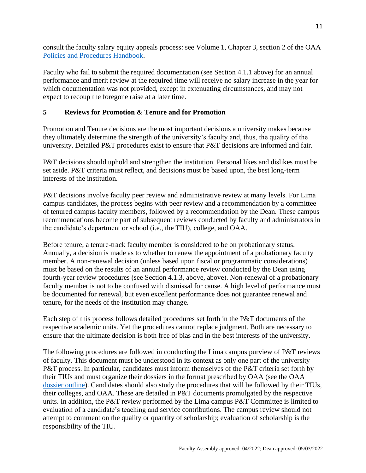consult the faculty salary equity appeals process: see Volume 1, Chapter 3, section 2 of the OAA [Policies and Procedures Handbook.](https://oaa.osu.edu/policies-and-procedures-handbook)

Faculty who fail to submit the required documentation (see Section 4.1.1 above) for an annual performance and merit review at the required time will receive no salary increase in the year for which documentation was not provided, except in extenuating circumstances, and may not expect to recoup the foregone raise at a later time.

### <span id="page-11-0"></span>**5 Reviews for Promotion & Tenure and for Promotion**

Promotion and Tenure decisions are the most important decisions a university makes because they ultimately determine the strength of the university's faculty and, thus, the quality of the university. Detailed P&T procedures exist to ensure that P&T decisions are informed and fair.

P&T decisions should uphold and strengthen the institution. Personal likes and dislikes must be set aside. P&T criteria must reflect, and decisions must be based upon, the best long-term interests of the institution.

P&T decisions involve faculty peer review and administrative review at many levels. For Lima campus candidates, the process begins with peer review and a recommendation by a committee of tenured campus faculty members, followed by a recommendation by the Dean. These campus recommendations become part of subsequent reviews conducted by faculty and administrators in the candidate's department or school (i.e., the TIU), college, and OAA.

Before tenure, a tenure-track faculty member is considered to be on probationary status. Annually, a decision is made as to whether to renew the appointment of a probationary faculty member. A non-renewal decision (unless based upon fiscal or programmatic considerations) must be based on the results of an annual performance review conducted by the Dean using fourth-year review procedures (see Section 4.1.3, above, above). Non-renewal of a probationary faculty member is not to be confused with dismissal for cause. A high level of performance must be documented for renewal, but even excellent performance does not guarantee renewal and tenure, for the needs of the institution may change.

Each step of this process follows detailed procedures set forth in the P&T documents of the respective academic units. Yet the procedures cannot replace judgment. Both are necessary to ensure that the ultimate decision is both free of bias and in the best interests of the university.

The following procedures are followed in conducting the Lima campus purview of P&T reviews of faculty. This document must be understood in its context as only one part of the university P&T process. In particular, candidates must inform themselves of the P&T criteria set forth by their TIUs and must organize their dossiers in the format prescribed by OAA (see the OAA [dossier outline\)](https://oaa.osu.edu/sites/default/files/links_files/oaa-handbook-core-dossier-outline-rev-08-2021.docx). Candidates should also study the procedures that will be followed by their TIUs, their colleges, and OAA. These are detailed in P&T documents promulgated by the respective units. In addition, the P&T review performed by the Lima campus P&T Committee is limited to evaluation of a candidate's teaching and service contributions. The campus review should not attempt to comment on the quality or quantity of scholarship; evaluation of scholarship is the responsibility of the TIU.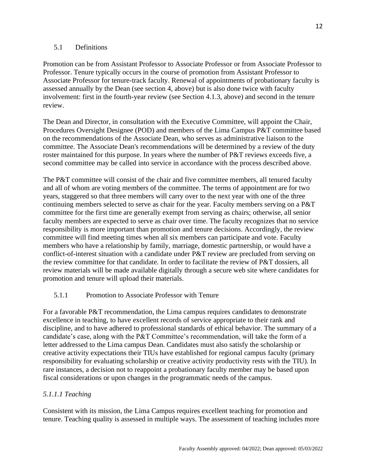#### <span id="page-12-0"></span>5.1 Definitions

Promotion can be from Assistant Professor to Associate Professor or from Associate Professor to Professor. Tenure typically occurs in the course of promotion from Assistant Professor to Associate Professor for tenure-track faculty. Renewal of appointments of probationary faculty is assessed annually by the Dean (see section 4, above) but is also done twice with faculty involvement: first in the fourth-year review (see Section 4.1.3, above) and second in the tenure review.

The Dean and Director, in consultation with the Executive Committee, will appoint the Chair, Procedures Oversight Designee (POD) and members of the Lima Campus P&T committee based on the recommendations of the Associate Dean, who serves as administrative liaison to the committee. The Associate Dean's recommendations will be determined by a review of the duty roster maintained for this purpose. In years where the number of P&T reviews exceeds five, a second committee may be called into service in accordance with the process described above.

The P&T committee will consist of the chair and five committee members, all tenured faculty and all of whom are voting members of the committee. The terms of appointment are for two years, staggered so that three members will carry over to the next year with one of the three continuing members selected to serve as chair for the year. Faculty members serving on a P&T committee for the first time are generally exempt from serving as chairs; otherwise, all senior faculty members are expected to serve as chair over time. The faculty recognizes that no service responsibility is more important than promotion and tenure decisions. Accordingly, the review committee will find meeting times when all six members can participate and vote. Faculty members who have a relationship by family, marriage, domestic partnership, or would have a conflict-of-interest situation with a candidate under P&T review are precluded from serving on the review committee for that candidate. In order to facilitate the review of P&T dossiers, all review materials will be made available digitally through a secure web site where candidates for promotion and tenure will upload their materials.

#### 5.1.1 Promotion to Associate Professor with Tenure

For a favorable P&T recommendation, the Lima campus requires candidates to demonstrate excellence in teaching, to have excellent records of service appropriate to their rank and discipline, and to have adhered to professional standards of ethical behavior. The summary of a candidate's case, along with the P&T Committee's recommendation, will take the form of a letter addressed to the Lima campus Dean. Candidates must also satisfy the scholarship or creative activity expectations their TIUs have established for regional campus faculty (primary responsibility for evaluating scholarship or creative activity productivity rests with the TIU). In rare instances, a decision not to reappoint a probationary faculty member may be based upon fiscal considerations or upon changes in the programmatic needs of the campus.

## *5.1.1.1 Teaching*

Consistent with its mission, the Lima Campus requires excellent teaching for promotion and tenure. Teaching quality is assessed in multiple ways. The assessment of teaching includes more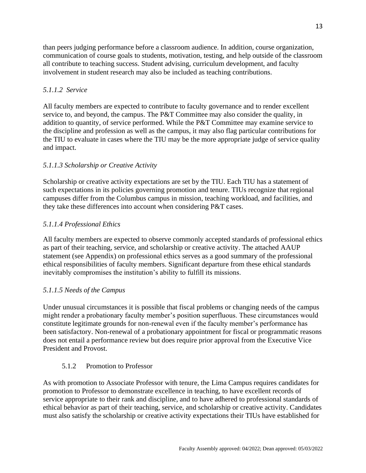than peers judging performance before a classroom audience. In addition, course organization, communication of course goals to students, motivation, testing, and help outside of the classroom all contribute to teaching success. Student advising, curriculum development, and faculty involvement in student research may also be included as teaching contributions.

## *5.1.1.2 Service*

All faculty members are expected to contribute to faculty governance and to render excellent service to, and beyond, the campus. The  $P&T$  Committee may also consider the quality, in addition to quantity, of service performed. While the P&T Committee may examine service to the discipline and profession as well as the campus, it may also flag particular contributions for the TIU to evaluate in cases where the TIU may be the more appropriate judge of service quality and impact.

## *5.1.1.3 Scholarship or Creative Activity*

Scholarship or creative activity expectations are set by the TIU. Each TIU has a statement of such expectations in its policies governing promotion and tenure. TIUs recognize that regional campuses differ from the Columbus campus in mission, teaching workload, and facilities, and they take these differences into account when considering P&T cases.

## *5.1.1.4 Professional Ethics*

All faculty members are expected to observe commonly accepted standards of professional ethics as part of their teaching, service, and scholarship or creative activity. The attached AAUP statement (see Appendix) on professional ethics serves as a good summary of the professional ethical responsibilities of faculty members. Significant departure from these ethical standards inevitably compromises the institution's ability to fulfill its missions.

## *5.1.1.5 Needs of the Campus*

Under unusual circumstances it is possible that fiscal problems or changing needs of the campus might render a probationary faculty member's position superfluous. These circumstances would constitute legitimate grounds for non-renewal even if the faculty member's performance has been satisfactory. Non-renewal of a probationary appointment for fiscal or programmatic reasons does not entail a performance review but does require prior approval from the Executive Vice President and Provost.

## 5.1.2 Promotion to Professor

<span id="page-13-0"></span>As with promotion to Associate Professor with tenure, the Lima Campus requires candidates for promotion to Professor to demonstrate excellence in teaching, to have excellent records of service appropriate to their rank and discipline, and to have adhered to professional standards of ethical behavior as part of their teaching, service, and scholarship or creative activity. Candidates must also satisfy the scholarship or creative activity expectations their TIUs have established for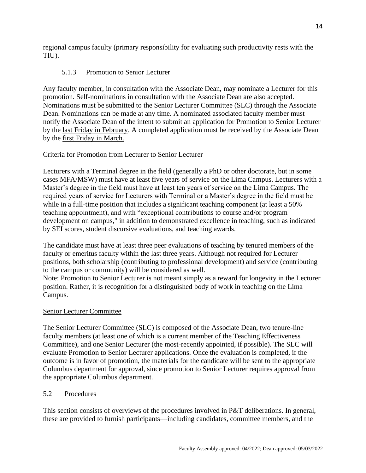regional campus faculty (primary responsibility for evaluating such productivity rests with the TIU).

## 5.1.3 Promotion to Senior Lecturer

<span id="page-14-0"></span>Any faculty member, in consultation with the Associate Dean, may nominate a Lecturer for this promotion. Self-nominations in consultation with the Associate Dean are also accepted. Nominations must be submitted to the Senior Lecturer Committee (SLC) through the Associate Dean. Nominations can be made at any time. A nominated associated faculty member must notify the Associate Dean of the intent to submit an application for Promotion to Senior Lecturer by the last Friday in February. A completed application must be received by the Associate Dean by the first Friday in March.

## Criteria for Promotion from Lecturer to Senior Lecturer

Lecturers with a Terminal degree in the field (generally a PhD or other doctorate, but in some cases MFA/MSW) must have at least five years of service on the Lima Campus. Lecturers with a Master's degree in the field must have at least ten years of service on the Lima Campus. The required years of service for Lecturers with Terminal or a Master's degree in the field must be while in a full-time position that includes a significant teaching component (at least a 50% teaching appointment), and with "exceptional contributions to course and/or program development on campus," in addition to demonstrated excellence in teaching, such as indicated by SEI scores, student discursive evaluations, and teaching awards.

The candidate must have at least three peer evaluations of teaching by tenured members of the faculty or emeritus faculty within the last three years. Although not required for Lecturer positions, both scholarship (contributing to professional development) and service (contributing to the campus or community) will be considered as well.

Note: Promotion to Senior Lecturer is not meant simply as a reward for longevity in the Lecturer position. Rather, it is recognition for a distinguished body of work in teaching on the Lima Campus.

## Senior Lecturer Committee

The Senior Lecturer Committee (SLC) is composed of the Associate Dean, two tenure-line faculty members (at least one of which is a current member of the Teaching Effectiveness Committee), and one Senior Lecturer (the most-recently appointed, if possible). The SLC will evaluate Promotion to Senior Lecturer applications. Once the evaluation is completed, if the outcome is in favor of promotion, the materials for the candidate will be sent to the appropriate Columbus department for approval, since promotion to Senior Lecturer requires approval from the appropriate Columbus department.

## <span id="page-14-1"></span>5.2 Procedures

This section consists of overviews of the procedures involved in P&T deliberations. In general, these are provided to furnish participants—including candidates, committee members, and the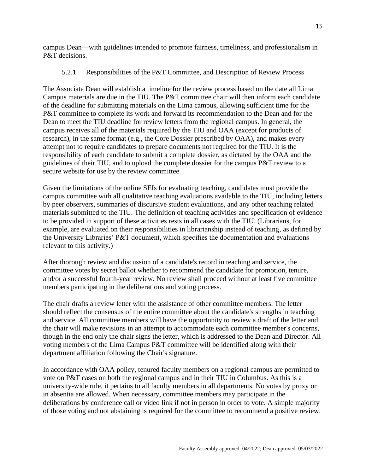campus Dean—with guidelines intended to promote fairness, timeliness, and professionalism in P&T decisions.

#### 5.2.1 Responsibilities of the P&T Committee, and Description of Review Process

<span id="page-15-0"></span>The Associate Dean will establish a timeline for the review process based on the date all Lima Campus materials are due in the TIU. The P&T committee chair will then inform each candidate of the deadline for submitting materials on the Lima campus, allowing sufficient time for the P&T committee to complete its work and forward its recommendation to the Dean and for the Dean to meet the TIU deadline for review letters from the regional campus. In general, the campus receives all of the materials required by the TIU and OAA (except for products of research), in the same format (e.g., the Core Dossier prescribed by OAA), and makes every attempt not to require candidates to prepare documents not required for the TIU. It is the responsibility of each candidate to submit a complete dossier, as dictated by the OAA and the guidelines of their TIU, and to upload the complete dossier for the campus P&T review to a secure website for use by the review committee.

Given the limitations of the online SEIs for evaluating teaching, candidates must provide the campus committee with all qualitative teaching evaluations available to the TIU, including letters by peer observers, summaries of discursive student evaluations, and any other teaching related materials submitted to the TIU. The definition of teaching activities and specification of evidence to be provided in support of these activities rests in all cases with the TIU. (Librarians, for example, are evaluated on their responsibilities in librarianship instead of teaching, as defined by the University Libraries' P&T document, which specifies the documentation and evaluations relevant to this activity.)

After thorough review and discussion of a candidate's record in teaching and service, the committee votes by secret ballot whether to recommend the candidate for promotion, tenure, and/or a successful fourth-year review. No review shall proceed without at least five committee members participating in the deliberations and voting process.

The chair drafts a review letter with the assistance of other committee members. The letter should reflect the consensus of the entire committee about the candidate's strengths in teaching and service. All committee members will have the opportunity to review a draft of the letter and the chair will make revisions in an attempt to accommodate each committee member's concerns, though in the end only the chair signs the letter, which is addressed to the Dean and Director. All voting members of the Lima Campus P&T committee will be identified along with their department affiliation following the Chair's signature.

In accordance with OAA policy, tenured faculty members on a regional campus are permitted to vote on P&T cases on both the regional campus and in their TIU in Columbus. As this is a university-wide rule, it pertains to all faculty members in all departments. No votes by proxy or in absentia are allowed. When necessary, committee members may participate in the deliberations by conference call or video link if not in person in order to vote. A simple majority of those voting and not abstaining is required for the committee to recommend a positive review.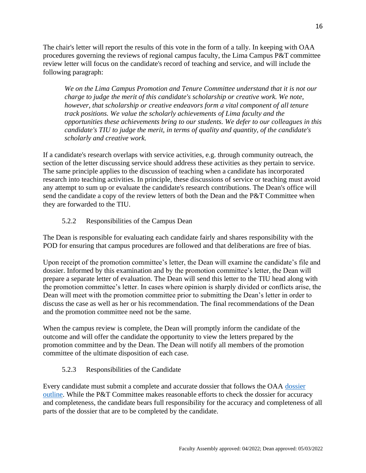The chair's letter will report the results of this vote in the form of a tally. In keeping with OAA procedures governing the reviews of regional campus faculty, the Lima Campus P&T committee review letter will focus on the candidate's record of teaching and service, and will include the following paragraph:

*We on the Lima Campus Promotion and Tenure Committee understand that it is not our charge to judge the merit of this candidate's scholarship or creative work. We note, however, that scholarship or creative endeavors form a vital component of all tenure track positions. We value the scholarly achievements of Lima faculty and the opportunities these achievements bring to our students. We defer to our colleagues in this candidate's TIU to judge the merit, in terms of quality and quantity, of the candidate's scholarly and creative work.*

If a candidate's research overlaps with service activities, e.g. through community outreach, the section of the letter discussing service should address these activities as they pertain to service. The same principle applies to the discussion of teaching when a candidate has incorporated research into teaching activities. In principle, these discussions of service or teaching must avoid any attempt to sum up or evaluate the candidate's research contributions. The Dean's office will send the candidate a copy of the review letters of both the Dean and the P&T Committee when they are forwarded to the TIU.

## 5.2.2 Responsibilities of the Campus Dean

<span id="page-16-0"></span>The Dean is responsible for evaluating each candidate fairly and shares responsibility with the POD for ensuring that campus procedures are followed and that deliberations are free of bias.

Upon receipt of the promotion committee's letter, the Dean will examine the candidate's file and dossier. Informed by this examination and by the promotion committee's letter, the Dean will prepare a separate letter of evaluation. The Dean will send this letter to the TIU head along with the promotion committee's letter. In cases where opinion is sharply divided or conflicts arise, the Dean will meet with the promotion committee prior to submitting the Dean's letter in order to discuss the case as well as her or his recommendation. The final recommendations of the Dean and the promotion committee need not be the same.

When the campus review is complete, the Dean will promptly inform the candidate of the outcome and will offer the candidate the opportunity to view the letters prepared by the promotion committee and by the Dean. The Dean will notify all members of the promotion committee of the ultimate disposition of each case.

## 5.2.3 Responsibilities of the Candidate

<span id="page-16-1"></span>Every candidate must submit a complete and accurate dossier that follows the OAA [dossier](https://oaa.osu.edu/sites/default/files/links_files/oaa-handbook-core-dossier-outline-rev-08-2021.docx)  [outline.](https://oaa.osu.edu/sites/default/files/links_files/oaa-handbook-core-dossier-outline-rev-08-2021.docx) While the P&T Committee makes reasonable efforts to check the dossier for accuracy and completeness, the candidate bears full responsibility for the accuracy and completeness of all parts of the dossier that are to be completed by the candidate.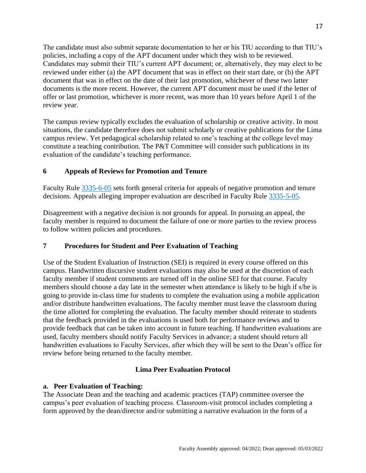The candidate must also submit separate documentation to her or his TIU according to that TIU's policies, including a copy of the APT document under which they wish to be reviewed. Candidates may submit their TIU's current APT document; or, alternatively, they may elect to be reviewed under either (a) the APT document that was in effect on their start date, or (b) the APT document that was in effect on the date of their last promotion, whichever of these two latter documents is the more recent. However, the current APT document must be used if the letter of offer or last promotion, whichever is more recent, was more than 10 years before April 1 of the review year.

The campus review typically excludes the evaluation of scholarship or creative activity. In most situations, the candidate therefore does not submit scholarly or creative publications for the Lima campus review. Yet pedagogical scholarship related to one's teaching at the college level may constitute a teaching contribution. The P&T Committee will consider such publications in its evaluation of the candidate's teaching performance.

## <span id="page-17-0"></span>**6 Appeals of Reviews for Promotion and Tenure**

Faculty Rule [3335-6-05](https://trustees.osu.edu/bylaws-and-rules/3335-6) sets forth general criteria for appeals of negative promotion and tenure decisions. Appeals alleging improper evaluation are described in Faculty Rule [3335-5-05.](https://trustees.osu.edu/bylaws-and-rules/3335-5)

Disagreement with a negative decision is not grounds for appeal. In pursuing an appeal, the faculty member is required to document the failure of one or more parties to the review process to follow written policies and procedures.

#### <span id="page-17-1"></span>**7 Procedures for Student and Peer Evaluation of Teaching**

Use of the Student Evaluation of Instruction (SEI) is required in every course offered on this campus. Handwritten discursive student evaluations may also be used at the discretion of each faculty member if student comments are turned off in the online SEI for that course. Faculty members should choose a day late in the semester when attendance is likely to be high if s/he is going to provide in-class time for students to complete the evaluation using a mobile application and/or distribute handwritten evaluations. The faculty member must leave the classroom during the time allotted for completing the evaluation. The faculty member should reiterate to students that the feedback provided in the evaluations is used both for performance reviews and to provide feedback that can be taken into account in future teaching. If handwritten evaluations are used, faculty members should notify Faculty Services in advance; a student should return all handwritten evaluations to Faculty Services, after which they will be sent to the Dean's office for review before being returned to the faculty member.

## **Lima Peer Evaluation Protocol**

#### **a. Peer Evaluation of Teaching:**

The Associate Dean and the teaching and academic practices (TAP) committee oversee the campus's peer evaluation of teaching process. Classroom-visit protocol includes completing a form approved by the dean/director and/or submitting a narrative evaluation in the form of a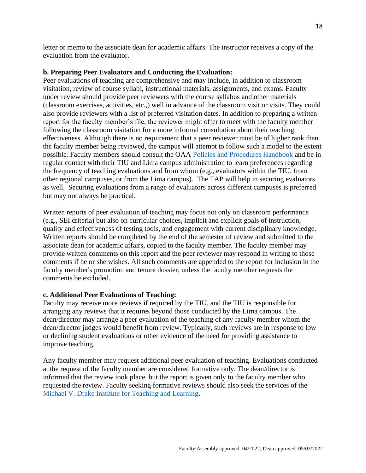letter or memo to the associate dean for academic affairs. The instructor receives a copy of the evaluation from the evaluator.

#### **b. Preparing Peer Evaluators and Conducting the Evaluation:**

Peer evaluations of teaching are comprehensive and may include, in addition to classroom visitation, review of course syllabi, instructional materials, assignments, and exams. Faculty under review should provide peer reviewers with the course syllabus and other materials (classroom exercises, activities, etc.,) well in advance of the classroom visit or visits. They could also provide reviewers with a list of preferred visitation dates. In addition to preparing a written report for the faculty member's file, the reviewer might offer to meet with the faculty member following the classroom visitation for a more informal consultation about their teaching effectiveness. Although there is no requirement that a peer reviewer must be of higher rank than the faculty member being reviewed, the campus will attempt to follow such a model to the extent possible. Faculty members should consult the OAA [Policies and Procedures Handbook](https://oaa.osu.edu/policies-and-procedures-handbook) and be in regular contact with their TIU and Lima campus administration to learn preferences regarding the frequency of teaching evaluations and from whom (e.g., evaluators within the TIU, from other regional campuses, or from the Lima campus). The TAP will help in securing evaluators as well. Securing evaluations from a range of evaluators across different campuses is preferred but may not always be practical.

Written reports of peer evaluation of teaching may focus not only on classroom performance (e.g., SEI criteria) but also on curricular choices, implicit and explicit goals of instruction, quality and effectiveness of testing tools, and engagement with current disciplinary knowledge. Written reports should be completed by the end of the semester of review and submitted to the associate dean for academic affairs, copied to the faculty member. The faculty member may provide written comments on this report and the peer reviewer may respond in writing to those comments if he or she wishes. All such comments are appended to the report for inclusion in the faculty member's promotion and tenure dossier, unless the faculty member requests the comments be excluded.

#### **c. Additional Peer Evaluations of Teaching:**

Faculty may receive more reviews if required by the TIU, and the TIU is responsible for arranging any reviews that it requires beyond those conducted by the Lima campus. The dean/director may arrange a peer evaluation of the teaching of any faculty member whom the dean/director judges would benefit from review. Typically, such reviews are in response to low or declining student evaluations or other evidence of the need for providing assistance to improve teaching.

Any faculty member may request additional peer evaluation of teaching. Evaluations conducted at the request of the faculty member are considered formative only. The dean/director is informed that the review took place, but the report is given only to the faculty member who requested the review. Faculty seeking formative reviews should also seek the services of the [Michael V. Drake Institute for Teaching and Learning.](https://drakeinstitute.osu.edu/)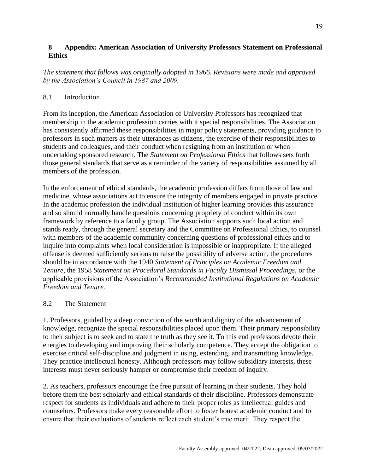### <span id="page-19-0"></span>**8 Appendix: American Association of University Professors Statement on Professional Ethics**

*The statement that follows was originally adopted in 1966. Revisions were made and approved by the Association's Council in 1987 and 2009.* 

#### <span id="page-19-1"></span>8.1 Introduction

From its inception, the American Association of University Professors has recognized that membership in the academic profession carries with it special responsibilities. The Association has consistently affirmed these responsibilities in major policy statements, providing guidance to professors in such matters as their utterances as citizens, the exercise of their responsibilities to students and colleagues, and their conduct when resigning from an institution or when undertaking sponsored research. The *Statement on Professional Ethics* that follows sets forth those general standards that serve as a reminder of the variety of responsibilities assumed by all members of the profession.

In the enforcement of ethical standards, the academic profession differs from those of law and medicine, whose associations act to ensure the integrity of members engaged in private practice. In the academic profession the individual institution of higher learning provides this assurance and so should normally handle questions concerning propriety of conduct within its own framework by reference to a faculty group. The Association supports such local action and stands ready, through the general secretary and the Committee on Professional Ethics, to counsel with members of the academic community concerning questions of professional ethics and to inquire into complaints when local consideration is impossible or inappropriate. If the alleged offense is deemed sufficiently serious to raise the possibility of adverse action, the procedures should be in accordance with the 1940 *Statement of Principles on Academic Freedom and Tenure,* the 1958 *Statement on Procedural Standards in Faculty Dismissal Proceedings,* or the applicable provisions of the Association's *Recommended Institutional Regulations on Academic Freedom and Tenure.* 

#### <span id="page-19-2"></span>8.2 The Statement

1. Professors, guided by a deep conviction of the worth and dignity of the advancement of knowledge, recognize the special responsibilities placed upon them. Their primary responsibility to their subject is to seek and to state the truth as they see it. To this end professors devote their energies to developing and improving their scholarly competence. They accept the obligation to exercise critical self-discipline and judgment in using, extending, and transmitting knowledge. They practice intellectual honesty. Although professors may follow subsidiary interests, these interests must never seriously hamper or compromise their freedom of inquiry.

2. As teachers, professors encourage the free pursuit of learning in their students. They hold before them the best scholarly and ethical standards of their discipline. Professors demonstrate respect for students as individuals and adhere to their proper roles as intellectual guides and counselors. Professors make every reasonable effort to foster honest academic conduct and to ensure that their evaluations of students reflect each student's true merit. They respect the